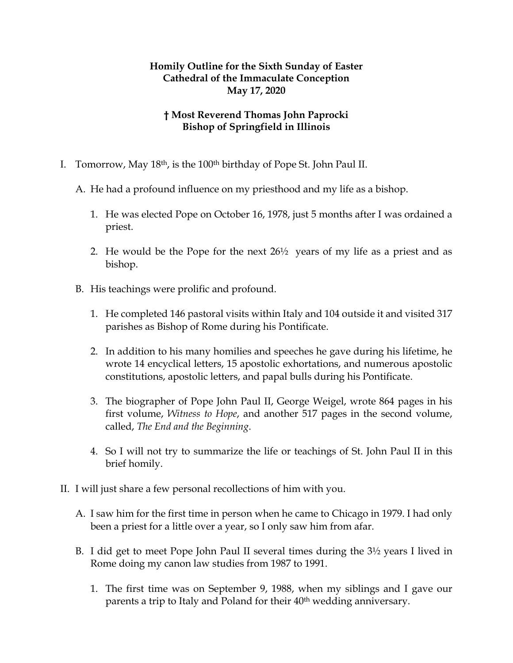## **Homily Outline for the Sixth Sunday of Easter Cathedral of the Immaculate Conception May 17, 2020**

## **† Most Reverend Thomas John Paprocki Bishop of Springfield in Illinois**

- I. Tomorrow, May 18th, is the 100th birthday of Pope St. John Paul II.
	- A. He had a profound influence on my priesthood and my life as a bishop.
		- 1. He was elected Pope on October 16, 1978, just 5 months after I was ordained a priest.
		- 2. He would be the Pope for the next 26½ years of my life as a priest and as bishop.
	- B. His teachings were prolific and profound.
		- 1. He completed 146 pastoral visits within Italy and 104 outside it and visited 317 parishes as Bishop of Rome during his Pontificate.
		- 2. In addition to his many homilies and speeches he gave during his lifetime, he wrote 14 encyclical letters, 15 apostolic exhortations, and numerous apostolic constitutions, apostolic letters, and papal bulls during his Pontificate.
		- 3. The biographer of Pope John Paul II, George Weigel, wrote 864 pages in his first volume, *Witness to Hope*, and another 517 pages in the second volume, called, *The End and the Beginning*.
		- 4. So I will not try to summarize the life or teachings of St. John Paul II in this brief homily.
- II. I will just share a few personal recollections of him with you.
	- A. I saw him for the first time in person when he came to Chicago in 1979. I had only been a priest for a little over a year, so I only saw him from afar.
	- B. I did get to meet Pope John Paul II several times during the 3½ years I lived in Rome doing my canon law studies from 1987 to 1991.
		- 1. The first time was on September 9, 1988, when my siblings and I gave our parents a trip to Italy and Poland for their 40<sup>th</sup> wedding anniversary.